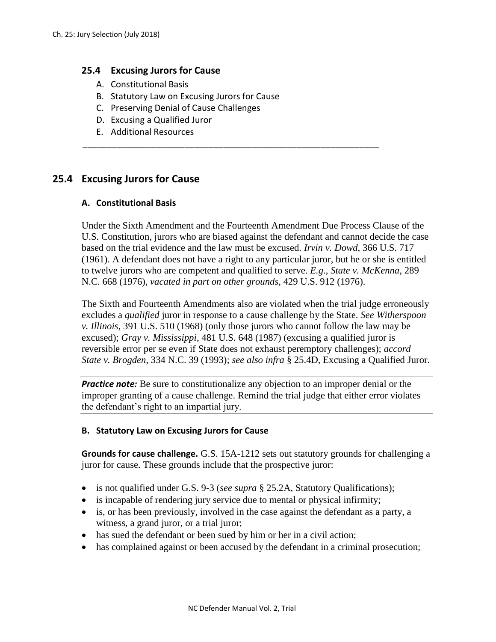## **25.4 Excusing Jurors for Cause**

- A. Constitutional Basis
- B. Statutory Law on Excusing Jurors for Cause
- C. Preserving Denial of Cause Challenges
- D. Excusing a Qualified Juror
- E. Additional Resources

# **25.4 Excusing Jurors for Cause**

### **A. Constitutional Basis**

Under the Sixth Amendment and the Fourteenth Amendment Due Process Clause of the U.S. Constitution, jurors who are biased against the defendant and cannot decide the case based on the trial evidence and the law must be excused. *Irvin v. Dowd*, 366 U.S. 717 (1961). A defendant does not have a right to any particular juror, but he or she is entitled to twelve jurors who are competent and qualified to serve. *E.g.*, *State v. McKenna*, 289 N.C. 668 (1976), *vacated in part on other grounds*, 429 U.S. 912 (1976).

\_\_\_\_\_\_\_\_\_\_\_\_\_\_\_\_\_\_\_\_\_\_\_\_\_\_\_\_\_\_\_\_\_\_\_\_\_\_\_\_\_\_\_\_\_\_\_\_\_\_\_\_\_\_\_\_\_\_\_\_\_

The Sixth and Fourteenth Amendments also are violated when the trial judge erroneously excludes a *qualified* juror in response to a cause challenge by the State. *See Witherspoon v. Illinois*, 391 U.S. 510 (1968) (only those jurors who cannot follow the law may be excused); *Gray v. Mississippi*, 481 U.S. 648 (1987) (excusing a qualified juror is reversible error per se even if State does not exhaust peremptory challenges); *accord State v. Brogden*, 334 N.C. 39 (1993); *see also infra* § 25.4D, Excusing a Qualified Juror.

*Practice note:* Be sure to constitutionalize any objection to an improper denial or the improper granting of a cause challenge. Remind the trial judge that either error violates the defendant's right to an impartial jury.

### **B. Statutory Law on Excusing Jurors for Cause**

**Grounds for cause challenge.** G.S. 15A-1212 sets out statutory grounds for challenging a juror for cause. These grounds include that the prospective juror:

- is not qualified under G.S. 9-3 (*see supra* § 25.2A, Statutory Qualifications);
- is incapable of rendering jury service due to mental or physical infirmity;
- is, or has been previously, involved in the case against the defendant as a party, a witness, a grand juror, or a trial juror;
- has sued the defendant or been sued by him or her in a civil action;
- has complained against or been accused by the defendant in a criminal prosecution;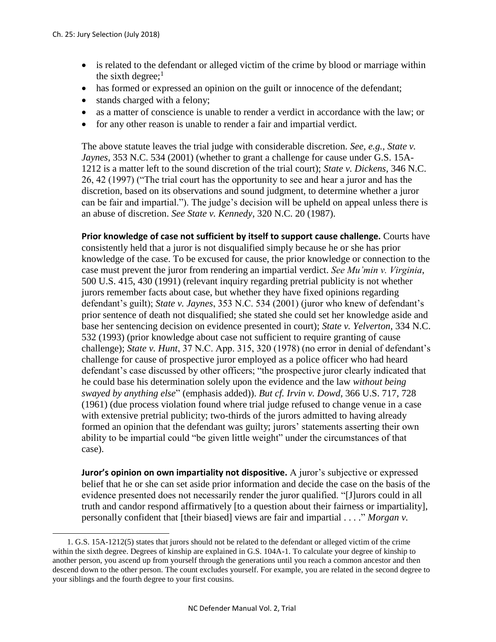l

- is related to the defendant or alleged victim of the crime by blood or marriage within the sixth degree;<sup>1</sup>
- has formed or expressed an opinion on the guilt or innocence of the defendant;
- stands charged with a felony;
- as a matter of conscience is unable to render a verdict in accordance with the law; or
- for any other reason is unable to render a fair and impartial verdict.

The above statute leaves the trial judge with considerable discretion. *See, e.g., State v. Jaynes*, 353 N.C. 534 (2001) (whether to grant a challenge for cause under G.S. 15A-1212 is a matter left to the sound discretion of the trial court); *State v. Dickens*, 346 N.C. 26, 42 (1997) ("The trial court has the opportunity to see and hear a juror and has the discretion, based on its observations and sound judgment, to determine whether a juror can be fair and impartial."). The judge's decision will be upheld on appeal unless there is an abuse of discretion. *See State v. Kennedy*, 320 N.C. 20 (1987).

**Prior knowledge of case not sufficient by itself to support cause challenge.** Courts have consistently held that a juror is not disqualified simply because he or she has prior knowledge of the case. To be excused for cause, the prior knowledge or connection to the case must prevent the juror from rendering an impartial verdict. *See Mu'min v. Virginia*, 500 U.S. 415, 430 (1991) (relevant inquiry regarding pretrial publicity is not whether jurors remember facts about case, but whether they have fixed opinions regarding defendant's guilt); *State v. Jaynes*, 353 N.C. 534 (2001) (juror who knew of defendant's prior sentence of death not disqualified; she stated she could set her knowledge aside and base her sentencing decision on evidence presented in court); *State v. Yelverton*, 334 N.C. 532 (1993) (prior knowledge about case not sufficient to require granting of cause challenge); *State v. Hunt*, 37 N.C. App. 315, 320 (1978) (no error in denial of defendant's challenge for cause of prospective juror employed as a police officer who had heard defendant's case discussed by other officers; "the prospective juror clearly indicated that he could base his determination solely upon the evidence and the law *without being swayed by anything else*" (emphasis added)). *But cf. Irvin v. Dowd*, 366 U.S. 717, 728 (1961) (due process violation found where trial judge refused to change venue in a case with extensive pretrial publicity; two-thirds of the jurors admitted to having already formed an opinion that the defendant was guilty; jurors' statements asserting their own ability to be impartial could "be given little weight" under the circumstances of that case).

**Juror's opinion on own impartiality not dispositive.** A juror's subjective or expressed belief that he or she can set aside prior information and decide the case on the basis of the evidence presented does not necessarily render the juror qualified. "[J]urors could in all truth and candor respond affirmatively [to a question about their fairness or impartiality], personally confident that [their biased] views are fair and impartial . . . ." *Morgan v.* 

<sup>1.</sup> G.S. 15A-1212(5) states that jurors should not be related to the defendant or alleged victim of the crime within the sixth degree. Degrees of kinship are explained in G.S. 104A-1. To calculate your degree of kinship to another person, you ascend up from yourself through the generations until you reach a common ancestor and then descend down to the other person. The count excludes yourself. For example, you are related in the second degree to your siblings and the fourth degree to your first cousins.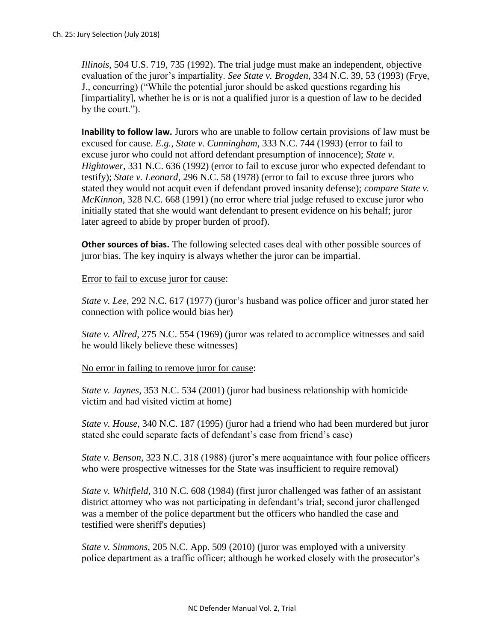*Illinois*, 504 U.S. 719, 735 (1992). The trial judge must make an independent, objective evaluation of the juror's impartiality. *See State v. Brogden*, 334 N.C. 39, 53 (1993) (Frye, J., concurring) ("While the potential juror should be asked questions regarding his [impartiality], whether he is or is not a qualified juror is a question of law to be decided by the court.").

**Inability to follow law.** Jurors who are unable to follow certain provisions of law must be excused for cause. *E.g.*, *State v. Cunningham*, 333 N.C. 744 (1993) (error to fail to excuse juror who could not afford defendant presumption of innocence); *State v. Hightower*, 331 N.C. 636 (1992) (error to fail to excuse juror who expected defendant to testify); *State v. Leonard*, 296 N.C. 58 (1978) (error to fail to excuse three jurors who stated they would not acquit even if defendant proved insanity defense); *compare State v. McKinnon*, 328 N.C. 668 (1991) (no error where trial judge refused to excuse juror who initially stated that she would want defendant to present evidence on his behalf; juror later agreed to abide by proper burden of proof).

**Other sources of bias.** The following selected cases deal with other possible sources of juror bias. The key inquiry is always whether the juror can be impartial.

## Error to fail to excuse juror for cause:

*State v. Lee*, 292 N.C. 617 (1977) (juror's husband was police officer and juror stated her connection with police would bias her)

*State v. Allred*, 275 N.C. 554 (1969) (juror was related to accomplice witnesses and said he would likely believe these witnesses)

### No error in failing to remove juror for cause:

*State v. Jaynes*, 353 N.C. 534 (2001) (juror had business relationship with homicide victim and had visited victim at home)

*State v. House*, 340 N.C. 187 (1995) (juror had a friend who had been murdered but juror stated she could separate facts of defendant's case from friend's case)

*State v. Benson*, 323 N.C. 318 (1988) (juror's mere acquaintance with four police officers who were prospective witnesses for the State was insufficient to require removal)

*State v. Whitfield*, 310 N.C. 608 (1984) (first juror challenged was father of an assistant district attorney who was not participating in defendant's trial; second juror challenged was a member of the police department but the officers who handled the case and testified were sheriff's deputies)

*State v. Simmons*, 205 N.C. App. 509 (2010) (juror was employed with a university police department as a traffic officer; although he worked closely with the prosecutor's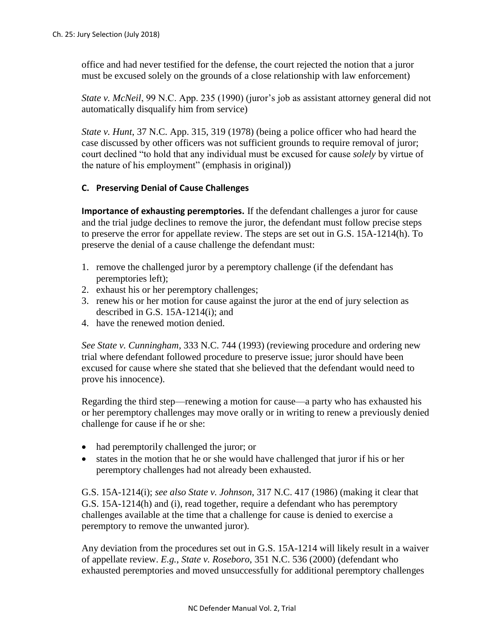office and had never testified for the defense, the court rejected the notion that a juror must be excused solely on the grounds of a close relationship with law enforcement)

*State v. McNeil*, 99 N.C. App. 235 (1990) (juror's job as assistant attorney general did not automatically disqualify him from service)

*State v. Hunt*, 37 N.C. App. 315, 319 (1978) (being a police officer who had heard the case discussed by other officers was not sufficient grounds to require removal of juror; court declined "to hold that any individual must be excused for cause *solely* by virtue of the nature of his employment" (emphasis in original))

## **C. Preserving Denial of Cause Challenges**

**Importance of exhausting peremptories.** If the defendant challenges a juror for cause and the trial judge declines to remove the juror, the defendant must follow precise steps to preserve the error for appellate review. The steps are set out in G.S. 15A-1214(h). To preserve the denial of a cause challenge the defendant must:

- 1. remove the challenged juror by a peremptory challenge (if the defendant has peremptories left);
- 2. exhaust his or her peremptory challenges;
- 3. renew his or her motion for cause against the juror at the end of jury selection as described in G.S. 15A-1214(i); and
- 4. have the renewed motion denied.

*See State v. Cunningham*, 333 N.C. 744 (1993) (reviewing procedure and ordering new trial where defendant followed procedure to preserve issue; juror should have been excused for cause where she stated that she believed that the defendant would need to prove his innocence).

Regarding the third step—renewing a motion for cause—a party who has exhausted his or her peremptory challenges may move orally or in writing to renew a previously denied challenge for cause if he or she:

- had peremptorily challenged the juror; or
- states in the motion that he or she would have challenged that juror if his or her peremptory challenges had not already been exhausted.

G.S. 15A-1214(i); *see also State v. Johnson*, 317 N.C. 417 (1986) (making it clear that G.S. 15A-1214(h) and (i), read together, require a defendant who has peremptory challenges available at the time that a challenge for cause is denied to exercise a peremptory to remove the unwanted juror).

Any deviation from the procedures set out in G.S. 15A-1214 will likely result in a waiver of appellate review. *E.g.*, *State v. Roseboro*, 351 N.C. 536 (2000) (defendant who exhausted peremptories and moved unsuccessfully for additional peremptory challenges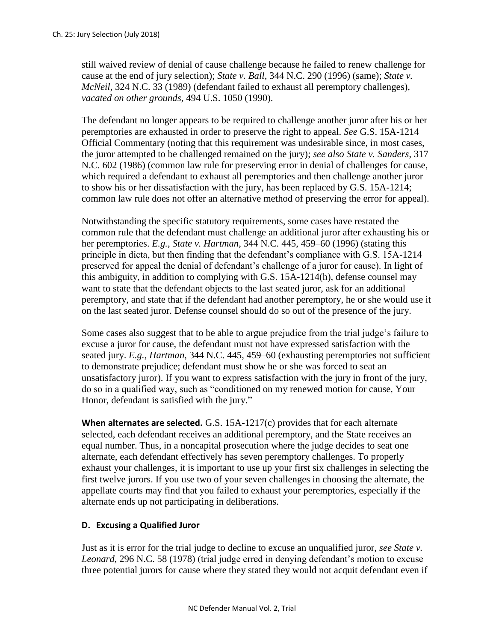still waived review of denial of cause challenge because he failed to renew challenge for cause at the end of jury selection); *State v. Ball*, 344 N.C. 290 (1996) (same); *State v. McNeil*, 324 N.C. 33 (1989) (defendant failed to exhaust all peremptory challenges), *vacated on other grounds*, 494 U.S. 1050 (1990).

The defendant no longer appears to be required to challenge another juror after his or her peremptories are exhausted in order to preserve the right to appeal. *See* G.S. 15A-1214 Official Commentary (noting that this requirement was undesirable since, in most cases, the juror attempted to be challenged remained on the jury); *see also State v. Sanders*, 317 N.C. 602 (1986) (common law rule for preserving error in denial of challenges for cause, which required a defendant to exhaust all peremptories and then challenge another juror to show his or her dissatisfaction with the jury, has been replaced by G.S. 15A-1214; common law rule does not offer an alternative method of preserving the error for appeal).

Notwithstanding the specific statutory requirements, some cases have restated the common rule that the defendant must challenge an additional juror after exhausting his or her peremptories. *E.g.*, *State v. Hartman*, 344 N.C. 445, 459–60 (1996) (stating this principle in dicta, but then finding that the defendant's compliance with G.S. 15A-1214 preserved for appeal the denial of defendant's challenge of a juror for cause). In light of this ambiguity, in addition to complying with G.S. 15A-1214(h), defense counsel may want to state that the defendant objects to the last seated juror, ask for an additional peremptory, and state that if the defendant had another peremptory, he or she would use it on the last seated juror. Defense counsel should do so out of the presence of the jury.

Some cases also suggest that to be able to argue prejudice from the trial judge's failure to excuse a juror for cause, the defendant must not have expressed satisfaction with the seated jury. *E.g.*, *Hartman*, 344 N.C. 445, 459–60 (exhausting peremptories not sufficient to demonstrate prejudice; defendant must show he or she was forced to seat an unsatisfactory juror). If you want to express satisfaction with the jury in front of the jury, do so in a qualified way, such as "conditioned on my renewed motion for cause, Your Honor, defendant is satisfied with the jury."

**When alternates are selected.** G.S. 15A-1217(c) provides that for each alternate selected, each defendant receives an additional peremptory, and the State receives an equal number. Thus, in a noncapital prosecution where the judge decides to seat one alternate, each defendant effectively has seven peremptory challenges. To properly exhaust your challenges, it is important to use up your first six challenges in selecting the first twelve jurors. If you use two of your seven challenges in choosing the alternate, the appellate courts may find that you failed to exhaust your peremptories, especially if the alternate ends up not participating in deliberations.

## **D. Excusing a Qualified Juror**

Just as it is error for the trial judge to decline to excuse an unqualified juror, *see State v. Leonard*, 296 N.C. 58 (1978) (trial judge erred in denying defendant's motion to excuse three potential jurors for cause where they stated they would not acquit defendant even if